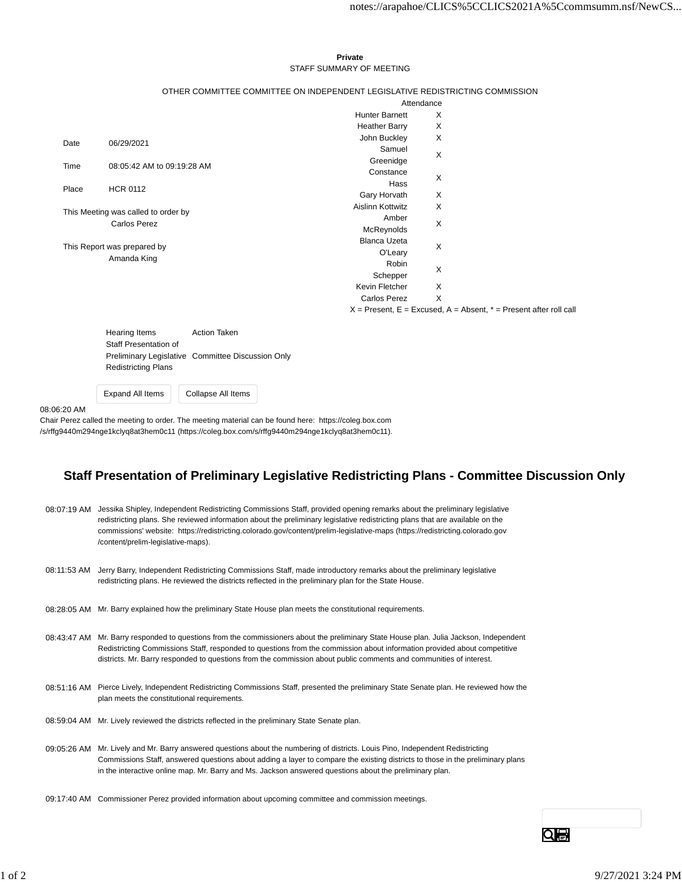## **Private** STAFF SUMMARY OF MEETING

## OTHER COMMITTEE COMMITTEE ON INDEPENDENT LEGISLATIVE REDISTRICTING COMMISSION

|                                                            |                            |                       | Attendance                                                            |  |
|------------------------------------------------------------|----------------------------|-----------------------|-----------------------------------------------------------------------|--|
|                                                            |                            | <b>Hunter Barnett</b> | X                                                                     |  |
|                                                            |                            | <b>Heather Barry</b>  | X                                                                     |  |
| Date                                                       | 06/29/2021                 | John Buckley          | X                                                                     |  |
|                                                            |                            | Samuel                | $\times$                                                              |  |
| Time                                                       | 08:05:42 AM to 09:19:28 AM | Greenidge             |                                                                       |  |
|                                                            |                            | Constance             | X                                                                     |  |
| Place                                                      | <b>HCR 0112</b>            | Hass                  |                                                                       |  |
|                                                            |                            | Gary Horvath          | X                                                                     |  |
| This Meeting was called to order by<br><b>Carlos Perez</b> |                            | Aislinn Kottwitz      | X                                                                     |  |
|                                                            |                            | Amber                 | X                                                                     |  |
|                                                            |                            | McReynolds            |                                                                       |  |
| This Report was prepared by                                |                            | <b>Blanca Uzeta</b>   | X                                                                     |  |
|                                                            |                            | O'Leary               |                                                                       |  |
|                                                            | Amanda King                | Robin                 | X                                                                     |  |
|                                                            |                            | Schepper              |                                                                       |  |
|                                                            |                            | Kevin Fletcher        | X                                                                     |  |
|                                                            |                            | <b>Carlos Perez</b>   | X                                                                     |  |
|                                                            |                            |                       | $X =$ Present, E = Excused, A = Absent, $* =$ Present after roll call |  |

Hearing Items **Action Taken** Staff Presentation of Preliminary Legislative Committee Discussion Only Redistricting Plans

Expand All Items Collapse All Items

08:06:20 AM

Chair Perez called the meeting to order. The meeting material can be found here: https://coleg.box.com /s/rffg9440m294nge1kclyq8at3hem0c11 (https://coleg.box.com/s/rffg9440m294nge1kclyq8at3hem0c11).

## **Staff Presentation of Preliminary Legislative Redistricting Plans - Committee Discussion Only**

| 08:07:19 AM | Jessika Shipley, Independent Redistricting Commissions Staff, provided opening remarks about the preliminary legislative<br>redistricting plans. She reviewed information about the preliminary legislative redistricting plans that are available on the<br>commissions' website: https://redistricting.colorado.gov/content/prelim-legislative-maps (https://redistricting.colorado.gov<br>/content/prelim-legislative-maps). |
|-------------|---------------------------------------------------------------------------------------------------------------------------------------------------------------------------------------------------------------------------------------------------------------------------------------------------------------------------------------------------------------------------------------------------------------------------------|
|             | 08:11:53 AM Jerry Barry, Independent Redistricting Commissions Staff, made introductory remarks about the preliminary legislative<br>redistricting plans. He reviewed the districts reflected in the preliminary plan for the State House.                                                                                                                                                                                      |
| 08:28:05 AM | Mr. Barry explained how the preliminary State House plan meets the constitutional requirements.                                                                                                                                                                                                                                                                                                                                 |
|             | 08:43:47 AM Mr. Barry responded to questions from the commissioners about the preliminary State House plan. Julia Jackson, Independent<br>Redistricting Commissions Staff, responded to questions from the commission about information provided about competitive<br>districts. Mr. Barry responded to questions from the commission about public comments and communities of interest.                                        |
|             | 08:51:16 AM Pierce Lively, Independent Redistricting Commissions Staff, presented the preliminary State Senate plan. He reviewed how the<br>plan meets the constitutional requirements.                                                                                                                                                                                                                                         |
|             | 08:59:04 AM Mr. Lively reviewed the districts reflected in the preliminary State Senate plan.                                                                                                                                                                                                                                                                                                                                   |
| 09:05:26 AM | Mr. Lively and Mr. Barry answered questions about the numbering of districts. Louis Pino, Independent Redistricting<br>Commissions Staff, answered questions about adding a layer to compare the existing districts to those in the preliminary plans<br>in the interactive online map. Mr. Barry and Ms. Jackson answered questions about the preliminary plan.                                                                |

09:17:40 AM Commissioner Perez provided information about upcoming committee and commission meetings.

Qe